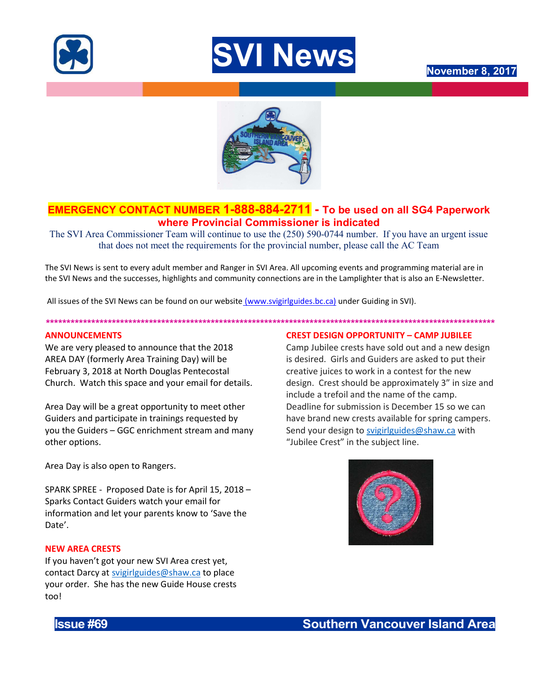





# EMERGENCY CONTACT NUMBER 1-888-884-2711 - To be used on all SG4 Paperwork where Provincial Commissioner is indicated

The SVI Area Commissioner Team will continue to use the (250) 590-0744 number. If you have an urgent issue that does not meet the requirements for the provincial number, please call the AC Team

The SVI News is sent to every adult member and Ranger in SVI Area. All upcoming events and programming material are in the SVI News and the successes, highlights and community connections are in the Lamplighter that is also an E-Newsletter.

\*\*\*\*\*\*\*\*\*\*\*\*\*\*\*\*\*\*\*\*\*\*\*\*\*\*\*\*\*\*\*\*\*\*\*\*\*\*\*\*\*\*\*\*\*\*\*\*\*\*\*\*\*\*\*\*\*\*\*\*\*\*\*\*\*\*\*\*\*\*\*\*\*\*\*\*\*\*\*\*\*\*\*\*\*\*\*\*\*\*\*\*\*\*\*\*\*\*\*\*\*\*\*\*\*\*\*\*\*

All issues of the SVI News can be found on our website (www.svigirlguides.bc.ca) under Guiding in SVI).

### ANNOUNCEMENTS

We are very pleased to announce that the 2018 AREA DAY (formerly Area Training Day) will be February 3, 2018 at North Douglas Pentecostal Church. Watch this space and your email for details.

Area Day will be a great opportunity to meet other Guiders and participate in trainings requested by you the Guiders – GGC enrichment stream and many other options.

Area Day is also open to Rangers.

SPARK SPREE - Proposed Date is for April 15, 2018 – Sparks Contact Guiders watch your email for information and let your parents know to 'Save the Date'.

# NEW AREA CRESTS

If you haven't got your new SVI Area crest yet, contact Darcy at svigirlguides@shaw.ca to place your order. She has the new Guide House crests too!

## CREST DESIGN OPPORTUNITY – CAMP JUBILEE

Camp Jubilee crests have sold out and a new design is desired. Girls and Guiders are asked to put their creative juices to work in a contest for the new design. Crest should be approximately 3" in size and include a trefoil and the name of the camp. Deadline for submission is December 15 so we can have brand new crests available for spring campers. Send your design to svigirlguides@shaw.ca with "Jubilee Crest" in the subject line.

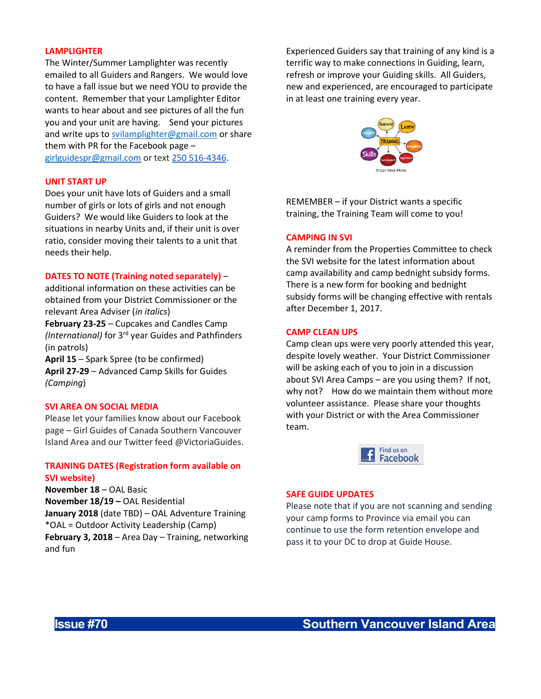#### LAMPLIGHTER

The Winter/Summer Lamplighter was recently emailed to all Guiders and Rangers. We would love to have a fall issue but we need YOU to provide the content. Remember that your Lamplighter Editor wants to hear about and see pictures of all the fun you and your unit are having. Send your pictures and write ups to svilamplighter@gmail.com or share them with PR for the Facebook page – girlguidespr@gmail.com or text 250 516-4346.

### UNIT START UP

Does your unit have lots of Guiders and a small number of girls or lots of girls and not enough Guiders? We would like Guiders to look at the situations in nearby Units and, if their unit is over ratio, consider moving their talents to a unit that needs their help.

# DATES TO NOTE (Training noted separately) –

additional information on these activities can be obtained from your District Commissioner or the relevant Area Adviser (in italics)

February 23-25 – Cupcakes and Candles Camp (International) for 3<sup>rd</sup> year Guides and Pathfinders (in patrols)

April 15 – Spark Spree (to be confirmed) April 27-29 – Advanced Camp Skills for Guides (Camping)

### SVI AREA ON SOCIAL MEDIA

Please let your families know about our Facebook page – Girl Guides of Canada Southern Vancouver Island Area and our Twitter feed @VictoriaGuides.

# TRAINING DATES (Registration form available on SVI website)

November 18 – OAL Basic November 18/19 – OAL Residential January 2018 (date TBD) - OAL Adventure Training \*OAL = Outdoor Activity Leadership (Camp) February 3, 2018 – Area Day – Training, networking and fun

Experienced Guiders say that training of any kind is a terrific way to make connections in Guiding, learn, refresh or improve your Guiding skills. All Guiders, new and experienced, are encouraged to participate in at least one training every year.



REMEMBER – if your District wants a specific training, the Training Team will come to you!

### CAMPING IN SVI

A reminder from the Properties Committee to check the SVI website for the latest information about camp availability and camp bednight subsidy forms. There is a new form for booking and bednight subsidy forms will be changing effective with rentals after December 1, 2017.

### CAMP CLEAN UPS

Camp clean ups were very poorly attended this year, despite lovely weather. Your District Commissioner will be asking each of you to join in a discussion about SVI Area Camps – are you using them? If not, why not? How do we maintain them without more volunteer assistance. Please share your thoughts with your District or with the Area Commissioner team.



# SAFE GUIDE UPDATES

Please note that if you are not scanning and sending your camp forms to Province via email you can continue to use the form retention envelope and pass it to your DC to drop at Guide House.